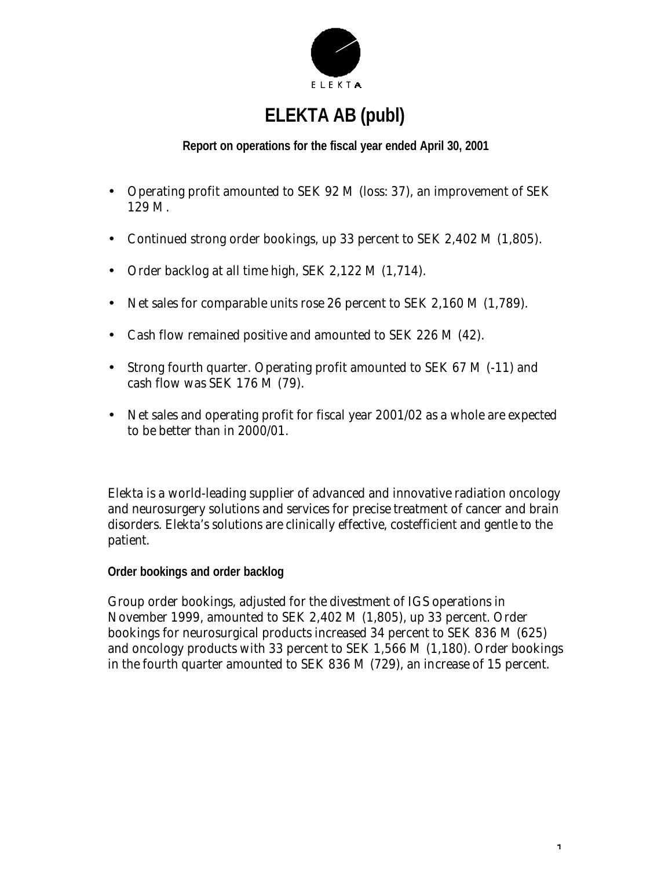

# **ELEKTA AB (publ)**

## **Report on operations for the fiscal year ended April 30, 2001**

- Operating profit amounted to SEK 92 M (loss: 37), an improvement of SEK 129 M.
- Continued strong order bookings, up 33 percent to SEK 2,402 M (1,805).
- Order backlog at all time high, SEK 2,122 M (1,714).
- Net sales for comparable units rose 26 percent to SEK 2,160 M (1,789).
- Cash flow remained positive and amounted to SEK 226 M (42).
- Strong fourth quarter. Operating profit amounted to SEK 67 M (-11) and cash flow was SEK 176 M (79).
- Net sales and operating profit for fiscal year 2001/02 as a whole are expected to be better than in 2000/01.

Elekta is a world-leading supplier of advanced and innovative radiation oncology and neurosurgery solutions and services for precise treatment of cancer and brain disorders. Elekta's solutions are clinically effective, costefficient and gentle to the patient.

**Order bookings and order backlog**

Group order bookings, adjusted for the divestment of IGS operations in November 1999, amounted to SEK 2,402 M (1,805), up 33 percent. Order bookings for neurosurgical products increased 34 percent to SEK 836 M (625) and oncology products with 33 percent to SEK 1,566 M (1,180). Order bookings in the fourth quarter amounted to SEK 836 M (729), an increase of 15 percent.

1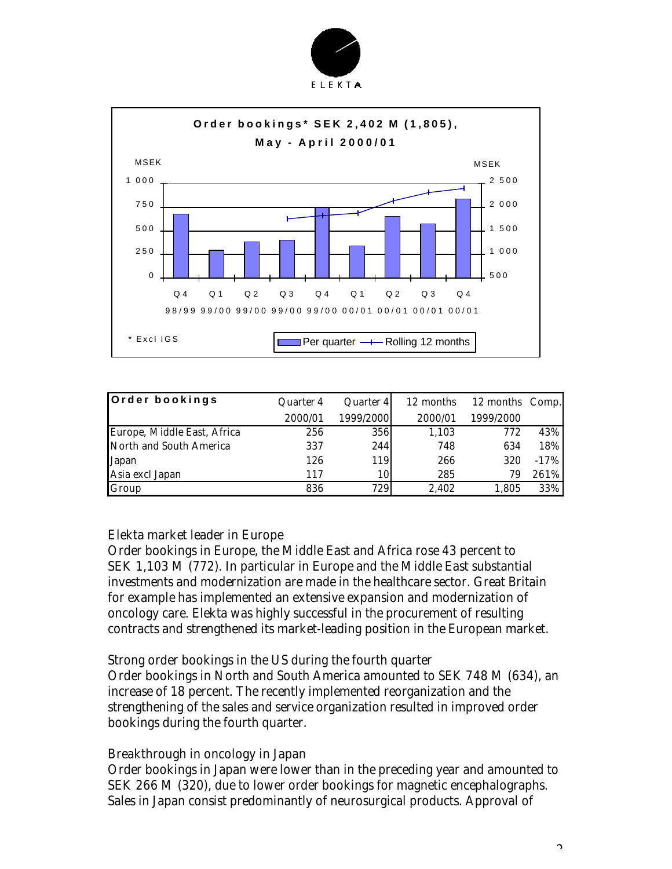



| Order bookings              | Quarter 4 | Quarter 4 | 12 months | 12 months Comp. |        |
|-----------------------------|-----------|-----------|-----------|-----------------|--------|
|                             | 2000/01   | 1999/2000 | 2000/01   | 1999/2000       |        |
| Europe, Middle East, Africa | 256       | 356       | 1,103     | 772             | 43%    |
| North and South America     | 337       | 244       | 748       | 634             | 18%    |
| Japan                       | 126       | 119       | 266       | 320             | $-17%$ |
| Asia excl Japan             | 117       | 10        | 285       | 79              | 261%   |
| Group                       | 836       | 729       | 2.402     | 1,805           | 33%    |

#### *Elekta market leader in Europe*

Order bookings in Europe, the Middle East and Africa rose 43 percent to SEK 1,103 M (772). In particular in Europe and the Middle East substantial investments and modernization are made in the healthcare sector. Great Britain for example has implemented an extensive expansion and modernization of oncology care. Elekta was highly successful in the procurement of resulting contracts and strengthened its market-leading position in the European market.

#### *Strong order bookings in the US during the fourth quarter*

Order bookings in North and South America amounted to SEK 748 M (634), an increase of 18 percent. The recently implemented reorganization and the strengthening of the sales and service organization resulted in improved order bookings during the fourth quarter.

#### *Breakthrough in oncology in Japan*

Order bookings in Japan were lower than in the preceding year and amounted to SEK 266 M (320), due to lower order bookings for magnetic encephalographs. Sales in Japan consist predominantly of neurosurgical products. Approval of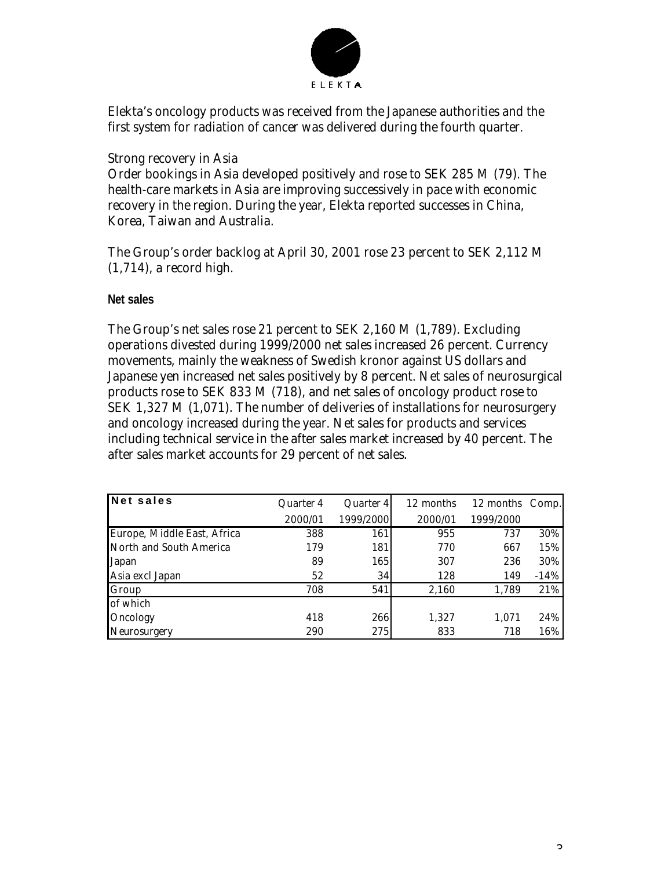

Elekta's oncology products was received from the Japanese authorities and the first system for radiation of cancer was delivered during the fourth quarter.

### *Strong recovery in Asia*

Order bookings in Asia developed positively and rose to SEK 285 M (79). The health-care markets in Asia are improving successively in pace with economic recovery in the region. During the year, Elekta reported successes in China, Korea, Taiwan and Australia.

The Group's order backlog at April 30, 2001 rose 23 percent to SEK 2,112 M (1,714), a record high.

#### **Net sales**

The Group's net sales rose 21 percent to SEK 2,160 M (1,789). Excluding operations divested during 1999/2000 net sales increased 26 percent. Currency movements, mainly the weakness of Swedish kronor against US dollars and Japanese yen increased net sales positively by 8 percent. Net sales of neurosurgical products rose to SEK 833 M (718), and net sales of oncology product rose to SEK 1,327 M (1,071). The number of deliveries of installations for neurosurgery and oncology increased during the year. Net sales for products and services including technical service in the after sales market increased by 40 percent. The after sales market accounts for 29 percent of net sales.

| <b>Net sales</b>            | Quarter 4 | Quarter 4 | 12 months<br>12 months Comp. |           |        |
|-----------------------------|-----------|-----------|------------------------------|-----------|--------|
|                             | 2000/01   | 1999/2000 | 2000/01                      | 1999/2000 |        |
| Europe, Middle East, Africa | 388       | 161       | 955                          | 737       | 30%    |
| North and South America     | 179       | 181       | 770                          | 667       | 15%    |
| Japan                       | 89        | 165       | 307                          | 236       | 30%    |
| Asia excl Japan             | 52        | 34        | 128                          | 149       | $-14%$ |
| Group                       | 708       | 541       | 2.160                        | 1,789     | 21%    |
| of which                    |           |           |                              |           |        |
| Oncology                    | 418       | 266       | 1,327                        | 1,071     | 24%    |
| Neurosurgery                | 290       | 275       | 833                          | 718       | 16%    |

 $\Omega$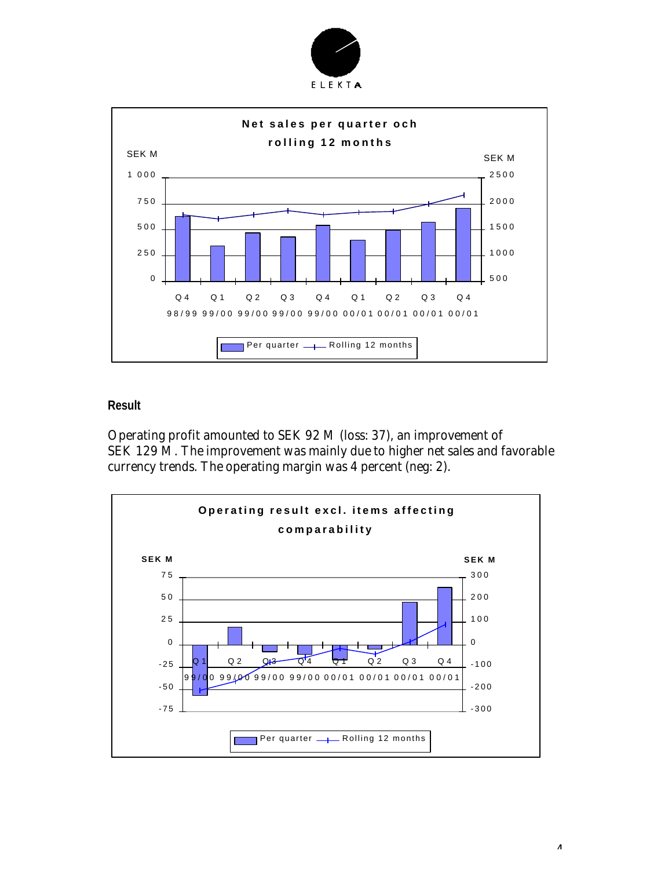



#### **Result**

Operating profit amounted to SEK 92 M (loss: 37), an improvement of SEK 129 M. The improvement was mainly due to higher net sales and favorable currency trends. The operating margin was 4 percent (neg: 2).



4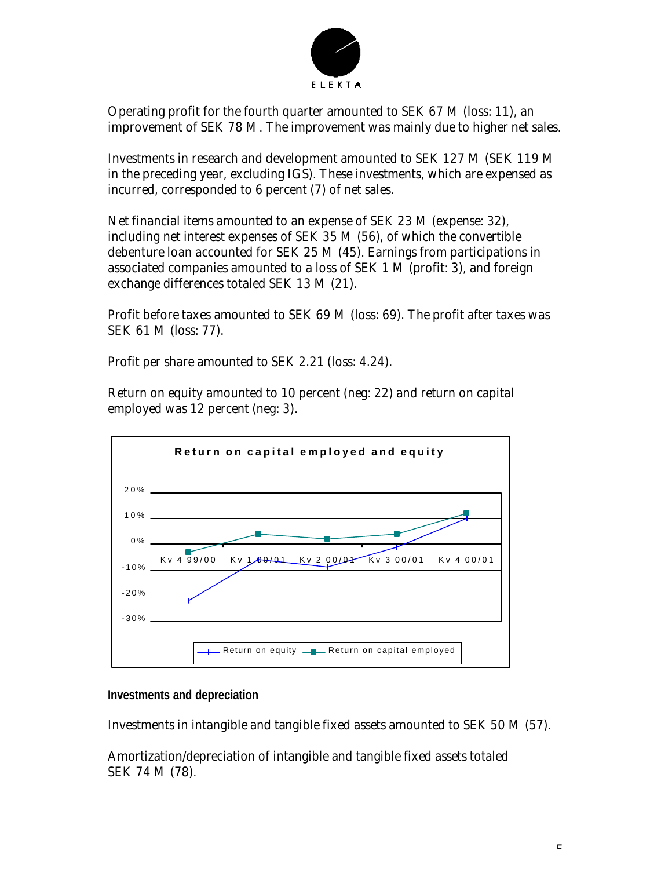

Operating profit for the fourth quarter amounted to SEK 67 M (loss: 11), an improvement of SEK 78 M. The improvement was mainly due to higher net sales.

Investments in research and development amounted to SEK 127 M (SEK 119 M in the preceding year, excluding IGS). These investments, which are expensed as incurred, corresponded to 6 percent (7) of net sales.

Net financial items amounted to an expense of SEK 23 M (expense: 32), including net interest expenses of SEK 35 M (56), of which the convertible debenture loan accounted for SEK 25 M (45). Earnings from participations in associated companies amounted to a loss of SEK 1 M (profit: 3), and foreign exchange differences totaled SEK 13 M (21).

Profit before taxes amounted to SEK 69 M (loss: 69). The profit after taxes was SEK 61 M (loss: 77).

Profit per share amounted to SEK 2.21 (loss: 4.24).

Return on equity amounted to 10 percent (neg: 22) and return on capital employed was 12 percent (neg: 3).



**Investments and depreciation**

Investments in intangible and tangible fixed assets amounted to SEK 50 M (57).

Amortization/depreciation of intangible and tangible fixed assets totaled SEK 74 M (78).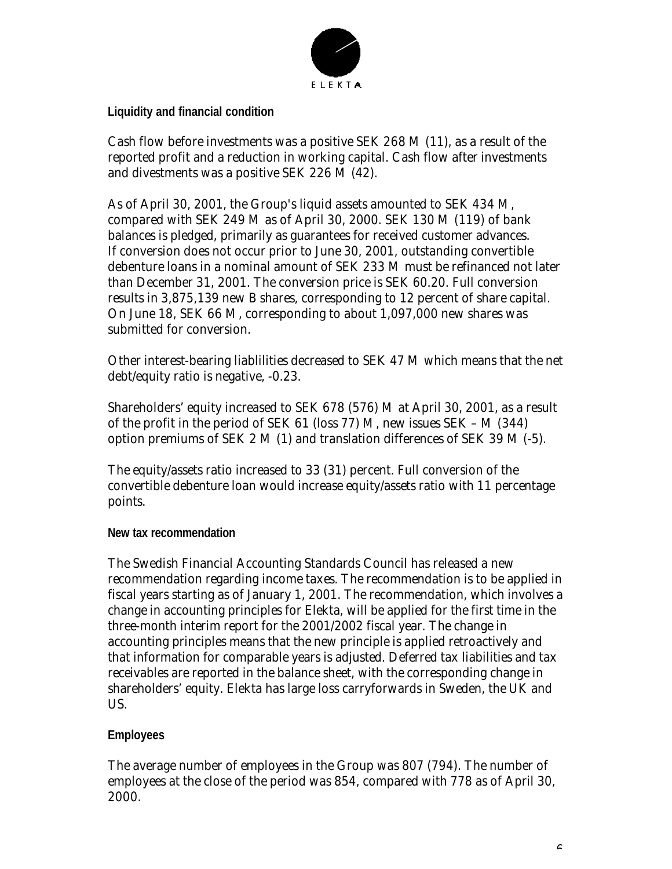

**Liquidity and financial condition**

Cash flow before investments was a positive SEK 268 M (11), as a result of the reported profit and a reduction in working capital. Cash flow after investments and divestments was a positive SEK 226 M (42).

As of April 30, 2001, the Group's liquid assets amounted to SEK 434 M, compared with SEK 249 M as of April 30, 2000. SEK 130 M (119) of bank balances is pledged, primarily as guarantees for received customer advances. If conversion does not occur prior to June 30, 2001, outstanding convertible debenture loans in a nominal amount of SEK 233 M must be refinanced not later than December 31, 2001. The conversion price is SEK 60.20. Full conversion results in 3,875,139 new B shares, corresponding to 12 percent of share capital. On June 18, SEK 66 M, corresponding to about 1,097,000 new shares was submitted for conversion.

Other interest-bearing liablilities decreased to SEK 47 M which means that the net debt/equity ratio is negative, -0.23.

Shareholders' equity increased to SEK 678 (576) M at April 30, 2001, as a result of the profit in the period of SEK 61 (loss 77) M, new issues SEK – M (344) option premiums of SEK 2 M (1) and translation differences of SEK 39 M (-5).

The equity/assets ratio increased to 33 (31) percent. Full conversion of the convertible debenture loan would increase equity/assets ratio with 11 percentage points.

### **New tax recommendation**

The Swedish Financial Accounting Standards Council has released a new recommendation regarding income taxes. The recommendation is to be applied in fiscal years starting as of January 1, 2001. The recommendation, which involves a change in accounting principles for Elekta, will be applied for the first time in the three-month interim report for the 2001/2002 fiscal year. The change in accounting principles means that the new principle is applied retroactively and that information for comparable years is adjusted. Deferred tax liabilities and tax receivables are reported in the balance sheet, with the corresponding change in shareholders' equity. Elekta has large loss carryforwards in Sweden, the UK and US.

## **Employees**

The average number of employees in the Group was 807 (794). The number of employees at the close of the period was 854, compared with 778 as of April 30, 2000.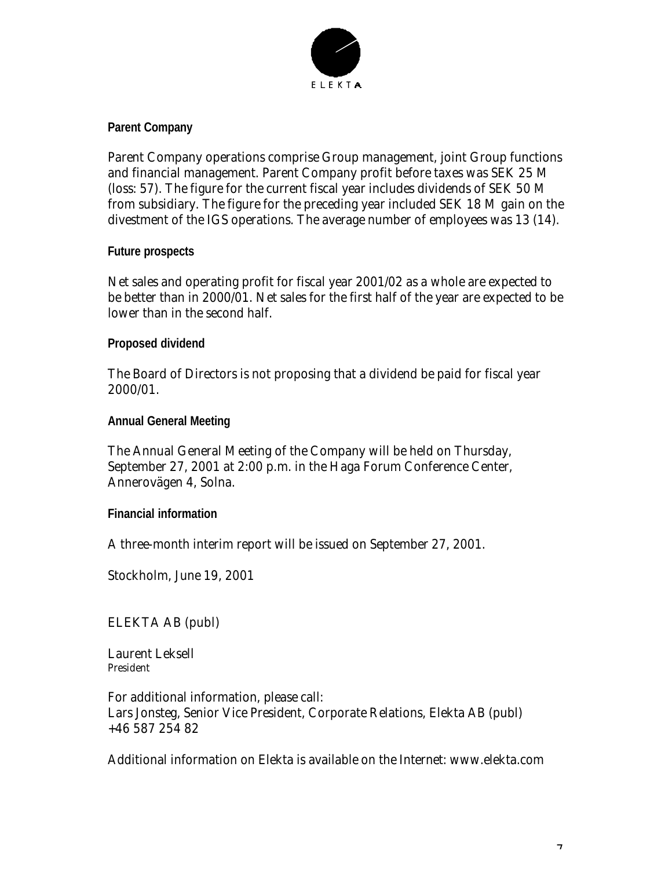

## **Parent Company**

Parent Company operations comprise Group management, joint Group functions and financial management. Parent Company profit before taxes was SEK 25 M (loss: 57). The figure for the current fiscal year includes dividends of SEK 50 M from subsidiary. The figure for the preceding year included SEK 18 M gain on the divestment of the IGS operations. The average number of employees was 13 (14).

### **Future prospects**

Net sales and operating profit for fiscal year 2001/02 as a whole are expected to be better than in 2000/01. Net sales for the first half of the year are expected to be lower than in the second half.

## **Proposed dividend**

The Board of Directors is not proposing that a dividend be paid for fiscal year 2000/01.

**Annual General Meeting**

The Annual General Meeting of the Company will be held on Thursday, September 27, 2001 at 2:00 p.m. in the Haga Forum Conference Center, Annerovägen 4, Solna.

**Financial information**

A three-month interim report will be issued on September 27, 2001.

Stockholm, June 19, 2001

ELEKTA AB (publ)

Laurent Leksell President

For additional information, please call: Lars Jonsteg, Senior Vice President, Corporate Relations, Elekta AB (publ) +46 587 254 82

Additional information on Elekta is available on the Internet: www.elekta.com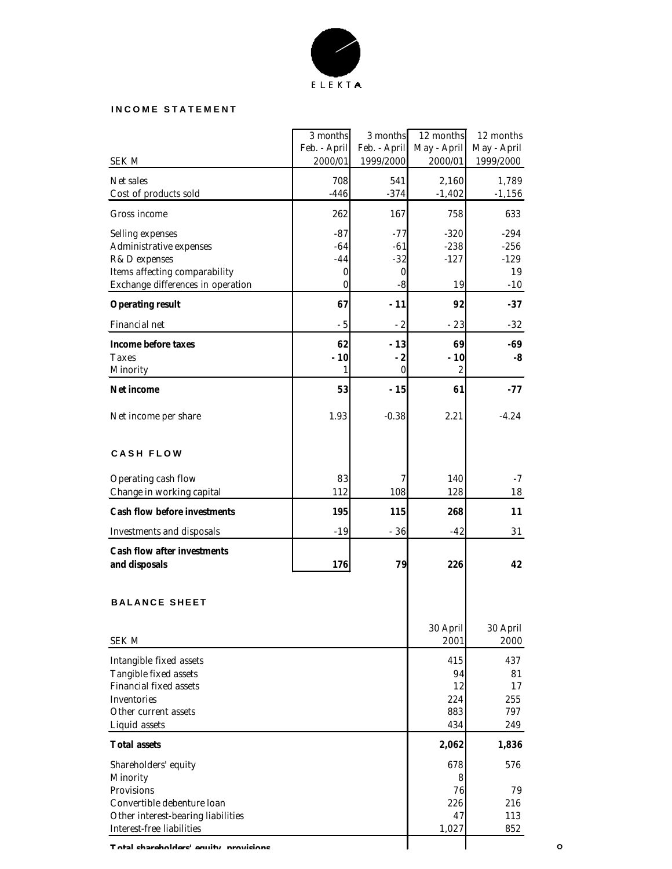

#### **INCOME STATEMENT**

|                                       | 3 months     | 3 months         | 12 months        | 12 months   |
|---------------------------------------|--------------|------------------|------------------|-------------|
|                                       | Feb. - April | Feb. - April     | May - April      | May - April |
| SEK M                                 | 2000/01      | 1999/2000        | 2000/01          | 1999/2000   |
| Net sales                             | 708          | 541              | 2,160            | 1,789       |
| Cost of products sold                 | $-446$       | $-374$           | $-1,402$         | $-1,156$    |
|                                       |              |                  |                  |             |
| Gross income                          | 262          | 167              | 758              | 633         |
| Selling expenses                      | $-87$        | $-77$            | $-320$           | $-294$      |
| Administrative expenses               | $-64$        | $-61$            | $-238$           | $-256$      |
| R&D expenses                          | $-44$        | $-32$            | $-127$           | $-129$      |
| Items affecting comparability         | 0            | $\boldsymbol{0}$ |                  | 19          |
| Exchange differences in operation     | 0            | $-8$             | 19               | $-10$       |
|                                       |              |                  |                  |             |
| <b>Operating result</b>               | 67           | $-11$            | 92               | $-37$       |
| Financial net                         | $-5$         | $-2$             | $-23$            | -32         |
| <b>Income before taxes</b>            | 62           | $-13$            | 69               | -69         |
| Taxes                                 | $-10$        | $-2$             | $-10$            | -8          |
| Minority                              | 1            | $\bf{0}$         | $\boldsymbol{2}$ |             |
|                                       |              |                  |                  |             |
| <b>Net income</b>                     | 53           | $-15$            | 61               | $-77$       |
|                                       |              |                  |                  |             |
| Net income per share                  | 1.93         | $-0.38$          | 2.21             | $-4.24$     |
|                                       |              |                  |                  |             |
| <b>CASH FLOW</b>                      |              |                  |                  |             |
|                                       |              |                  |                  |             |
| Operating cash flow                   | 83           | 7                | 140              | $-7$        |
| Change in working capital             | 112          | 108              | 128              | 18          |
|                                       |              |                  |                  |             |
| <b>Cash flow before investments</b>   | 195          | 115              | 268              | 11          |
| <b>Investments and disposals</b>      | $-19$        | $-36$            | $-42$            | 31          |
| <b>Cash flow after investments</b>    |              |                  |                  |             |
| and disposals                         | 176          | 79               | 226              | 42          |
|                                       |              |                  |                  |             |
|                                       |              |                  |                  |             |
| <b>BALANCE SHEET</b>                  |              |                  |                  |             |
|                                       |              |                  |                  |             |
|                                       |              |                  | 30 April         | 30 April    |
| <b>SEK M</b>                          |              |                  | 2001             | 2000        |
| Intangible fixed assets               |              |                  | 415              | 437         |
| Tangible fixed assets                 |              |                  | 94               | 81          |
| <b>Financial fixed assets</b>         |              |                  | 12               | 17          |
| Inventories                           |              |                  | 224              | 255         |
| Other current assets                  |              |                  | 883              | 797         |
| Liquid assets                         |              |                  | 434              | 249         |
|                                       |              |                  |                  |             |
| <b>Total assets</b>                   |              |                  | 2,062            | 1,836       |
| Shareholders' equity                  |              |                  | 678              | 576         |
| Minority                              |              |                  | 8                |             |
| Provisions                            |              |                  | 76               | 79          |
| Convertible debenture loan            |              |                  | 226              | 216         |
| Other interest-bearing liabilities    |              |                  | 47               | 113         |
| Interest-free liabilities             |              |                  | 1,027            | 852         |
| Total charoholdore' couity provisions |              |                  |                  |             |